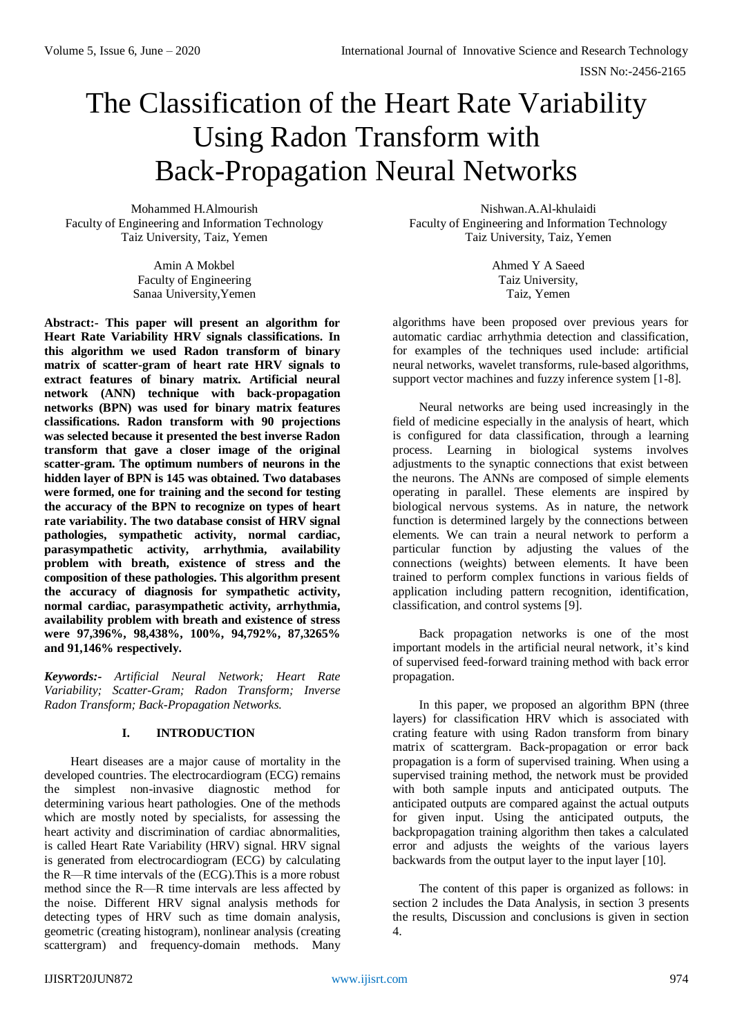# The Classification of the Heart Rate Variability Using Radon Transform with Back-Propagation Neural Networks

Mohammed H.Almourish Faculty of Engineering and Information Technology Taiz University, Taiz, Yemen

> Amin A Mokbel Faculty of Engineering Sanaa University,Yemen

**Abstract:- This paper will present an algorithm for Heart Rate Variability HRV signals classifications. In this algorithm we used Radon transform of binary matrix of scatter-gram of heart rate HRV signals to extract features of binary matrix. Artificial neural network (ANN) technique with back-propagation networks (BPN) was used for binary matrix features classifications. Radon transform with 90 projections was selected because it presented the best inverse Radon transform that gave a closer image of the original scatter-gram. The optimum numbers of neurons in the hidden layer of BPN is 145 was obtained. Two databases were formed, one for training and the second for testing the accuracy of the BPN to recognize on types of heart rate variability. The two database consist of HRV signal pathologies, sympathetic activity, normal cardiac, parasympathetic activity, arrhythmia, availability problem with breath, existence of stress and the composition of these pathologies. This algorithm present the accuracy of diagnosis for sympathetic activity, normal cardiac, parasympathetic activity, arrhythmia, availability problem with breath and existence of stress were 97,396%, 98,438%, 100%, 94,792%, 87,3265% and 91,146% respectively.** 

*Keywords:- Artificial Neural Network; Heart Rate Variability; Scatter-Gram; Radon Transform; Inverse Radon Transform; Back-Propagation Networks.*

## **I. INTRODUCTION**

Heart diseases are a major cause of mortality in the developed countries. The electrocardiogram (ECG) remains the simplest non-invasive diagnostic method for determining various heart pathologies. One of the methods which are mostly noted by specialists, for assessing the heart activity and discrimination of cardiac abnormalities, is called Heart Rate Variability (HRV) signal. HRV signal is generated from electrocardiogram (ECG) by calculating the R—R time intervals of the (ECG).This is a more robust method since the R—R time intervals are less affected by the noise. Different HRV signal analysis methods for detecting types of HRV such as time domain analysis, geometric (creating histogram), nonlinear analysis (creating scattergram) and frequency-domain methods. Many

Nishwan.A.Al-khulaidi Faculty of Engineering and Information Technology Taiz University, Taiz, Yemen

> Ahmed Y A Saeed Taiz University, Taiz, Yemen

algorithms have been proposed over previous years for automatic cardiac arrhythmia detection and classification, for examples of the techniques used include: artificial neural networks, wavelet transforms, rule-based algorithms, support vector machines and fuzzy inference system [1-8].

Neural networks are being used increasingly in the field of medicine especially in the analysis of heart, which is configured for data classification, through a learning process. Learning in biological systems involves adjustments to the synaptic connections that exist between the neurons. The ANNs are composed of simple elements operating in parallel. These elements are inspired by biological nervous systems. As in nature, the network function is determined largely by the connections between elements. We can train a neural network to perform a particular function by adjusting the values of the connections (weights) between elements. It have been trained to perform complex functions in various fields of application including pattern recognition, identification, classification, and control systems [9].

Back propagation networks is one of the most important models in the artificial neural network, it's kind of supervised feed-forward training method with back error propagation.

In this paper, we proposed an algorithm BPN (three layers) for classification HRV which is associated with crating feature with using Radon transform from binary matrix of scattergram. Back-propagation or error back propagation is a form of supervised training. When using a supervised training method, the network must be provided with both sample inputs and anticipated outputs. The anticipated outputs are compared against the actual outputs for given input. Using the anticipated outputs, the backpropagation training algorithm then takes a calculated error and adjusts the weights of the various layers backwards from the output layer to the input layer [10].

The content of this paper is organized as follows: in section 2 includes the Data Analysis, in section 3 presents the results, Discussion and conclusions is given in section 4.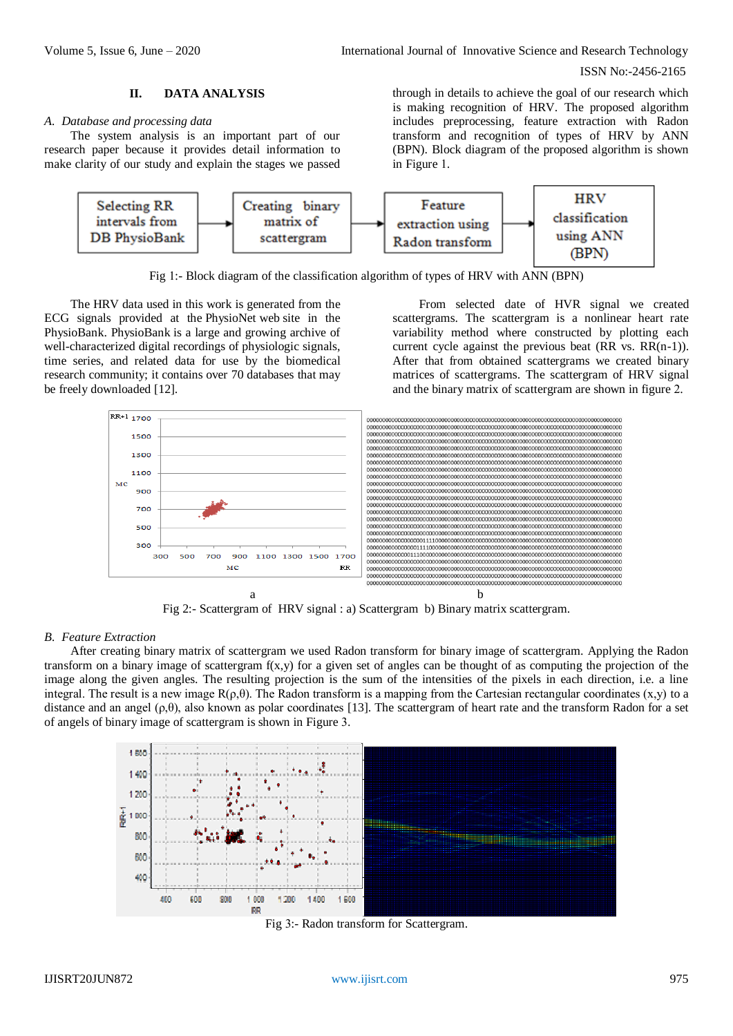# **II. DATA ANALYSIS**

#### *A. Database and processing data*

The system analysis is an important part of our research paper because it provides detail information to make clarity of our study and explain the stages we passed through in details to achieve the goal of our research which is making recognition of HRV. The proposed algorithm includes preprocessing, feature extraction with Radon transform and recognition of types of HRV by ANN (BPN). Block diagram of the proposed algorithm is shown in Figure 1.



Fig 1:- Block diagram of the classification algorithm of types of HRV with ANN (BPN)

The HRV data used in this work is generated from the ECG signals provided at the PhysioNet web site in the [PhysioBank. PhysioBank](http://www.physionet.org/physiobank/index.shtml) is a large and growing archive of well-characterized digital recordings of physiologic signals, time series, and related data for use by the biomedical research community; it contains over 70 databases that may be freely downloaded [12].

From selected date of HVR signal we created scattergrams. The scattergram is a nonlinear heart rate variability method where constructed by plotting each current cycle against the previous beat (RR vs. RR(n-1)). After that from obtained scattergrams we created binary matrices of scattergrams. The scattergram of HRV signal and the binary matrix of scattergram are shown in figure 2.



Fig 2:- Scattergram of HRV signal : a) Scattergram b) Binary matrix scattergram.

## *B. Feature Extraction*

After creating binary matrix of scattergram we used Radon transform for binary image of scattergram. Applying the Radon transform on a binary image of scattergram f(x,y) for a given set of angles can be thought of as computing the projection of the image along the given angles. The resulting projection is the sum of the intensities of the pixels in each direction, i.e. a line integral. The result is a new image  $R(\rho,\theta)$ . The Radon transform is a mapping from the Cartesian rectangular coordinates (x,y) to a distance and an angel  $(\rho, \theta)$ , also known as polar coordinates [13]. The scattergram of heart rate and the transform Radon for a set of angels of binary image of scattergram is shown in Figure 3.



Fig 3:- Radon transform for Scattergram.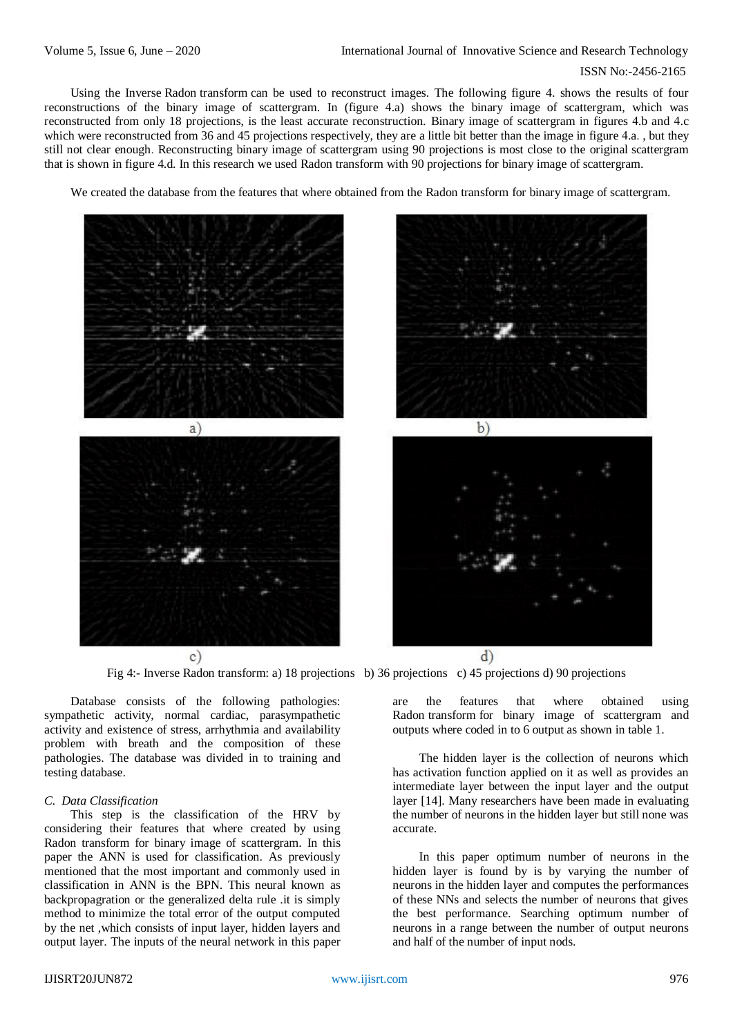Using the Inverse Radon transform can be used to reconstruct images. The following figure 4. shows the results of four reconstructions of the binary image of scattergram. In (figure 4.a) shows the binary image of scattergram, which was reconstructed from only 18 projections, is the least accurate reconstruction. Binary image of scattergram in figures 4.b and 4.c which were reconstructed from 36 and 45 projections respectively, they are a little bit better than the image in figure 4.a., but they still not clear enough. Reconstructing binary image of scattergram using 90 projections is most close to the original scattergram that is shown in figure 4.d. In this research we used Radon transform with 90 projections for binary image of scattergram.

We created the database from the features that where obtained from the Radon transform for binary image of scattergram.







 $\circ$ )

Fig 4:- Inverse Radon transform: a) 18 projections b) 36 projections c) 45 projections d) 90 projections

Database consists of the following pathologies: sympathetic activity, normal cardiac, parasympathetic activity and existence of stress, arrhythmia and availability problem with breath and the composition of these pathologies. The database was divided in to training and testing database.

#### *C. Data Classification*

This step is the classification of the HRV by considering their features that where created by using Radon transform for binary image of scattergram. In this paper the ANN is used for classification. As previously mentioned that the most important and commonly used in classification in ANN is the BPN. This neural known as backpropagration or the generalized delta rule .it is simply method to minimize the total error of the output computed by the net ,which consists of input layer, hidden layers and output layer. The inputs of the neural network in this paper are the features that where obtained using Radon transform for binary image of scattergram and outputs where coded in to 6 output as shown in table 1.

The hidden layer is the collection of neurons which has activation function applied on it as well as provides an intermediate layer between the input layer and the output layer [14]. Many researchers have been made in evaluating the number of neurons in the hidden layer but still none was accurate.

In this paper optimum number of neurons in the hidden layer is found by is by varying the number of neurons in the hidden layer and computes the performances of these NNs and selects the number of neurons that gives the best performance. Searching optimum number of neurons in a range between the number of output neurons and half of the number of input nods.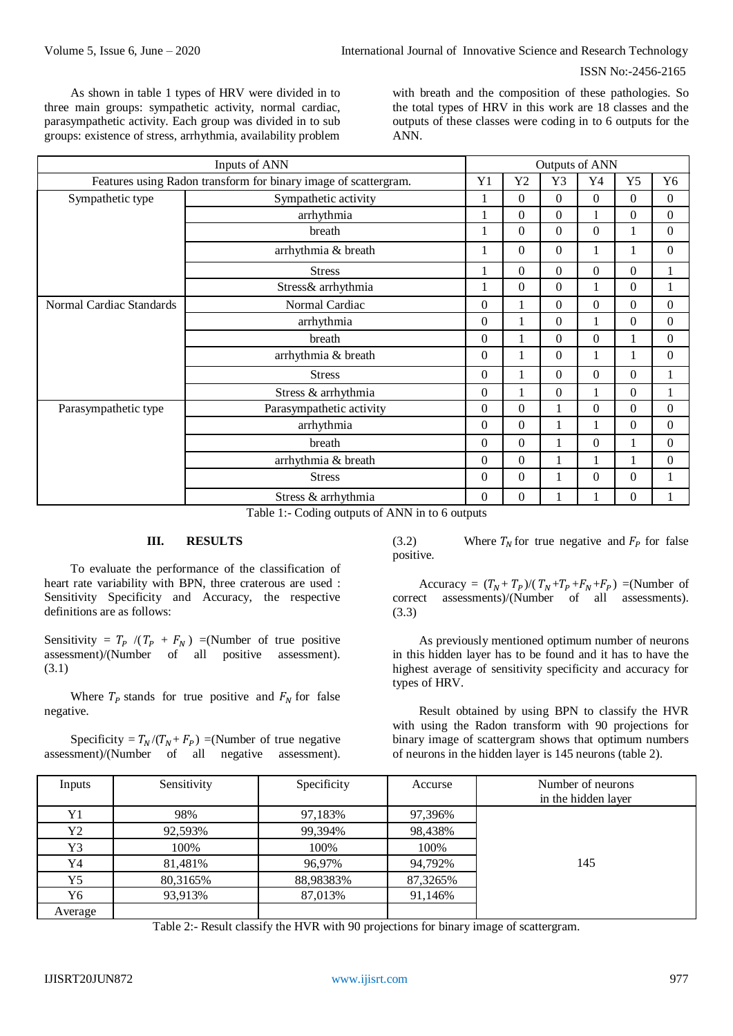As shown in table 1 types of HRV were divided in to three main groups: sympathetic activity, normal cardiac, parasympathetic activity. Each group was divided in to sub groups: existence of stress, arrhythmia, availability problem

with breath and the composition of these pathologies. So the total types of HRV in this work are 18 classes and the outputs of these classes were coding in to 6 outputs for the ANN.

| Inputs of ANN                                                   |                                                                                                                                                                                                                                                                                                                                                                                                                                                         |                | Outputs of ANN   |                  |                  |                  |                  |  |  |
|-----------------------------------------------------------------|---------------------------------------------------------------------------------------------------------------------------------------------------------------------------------------------------------------------------------------------------------------------------------------------------------------------------------------------------------------------------------------------------------------------------------------------------------|----------------|------------------|------------------|------------------|------------------|------------------|--|--|
| Features using Radon transform for binary image of scattergram. |                                                                                                                                                                                                                                                                                                                                                                                                                                                         |                | Y2               | Y3               | Y4               | Y5               | Y <sub>6</sub>   |  |  |
| Sympathetic type                                                | Sympathetic activity                                                                                                                                                                                                                                                                                                                                                                                                                                    | 1              | $\Omega$         | $\Omega$         | $\Omega$         | $\overline{0}$   | $\boldsymbol{0}$ |  |  |
|                                                                 | arrhythmia                                                                                                                                                                                                                                                                                                                                                                                                                                              |                | $\Omega$         | $\theta$         |                  | $\boldsymbol{0}$ | $\boldsymbol{0}$ |  |  |
|                                                                 | breath                                                                                                                                                                                                                                                                                                                                                                                                                                                  | 1              | $\Omega$         | $\boldsymbol{0}$ | $\boldsymbol{0}$ | $\mathbf{1}$     | $\boldsymbol{0}$ |  |  |
|                                                                 | arrhythmia & breath                                                                                                                                                                                                                                                                                                                                                                                                                                     | 1              | $\Omega$         | $\overline{0}$   | 1                | 1                | $\overline{0}$   |  |  |
|                                                                 | <b>Stress</b>                                                                                                                                                                                                                                                                                                                                                                                                                                           | 1              | $\Omega$         | $\mathbf{0}$     | $\mathbf{0}$     | $\boldsymbol{0}$ | 1                |  |  |
|                                                                 | Stress& arrhythmia                                                                                                                                                                                                                                                                                                                                                                                                                                      | 1              | $\mathbf{0}$     | $\overline{0}$   | 1                | $\overline{0}$   | $\mathbf{1}$     |  |  |
| Normal Cardiac Standards                                        | Normal Cardiac                                                                                                                                                                                                                                                                                                                                                                                                                                          | $\Omega$       |                  | $\theta$         | $\Omega$         | $\boldsymbol{0}$ | $\boldsymbol{0}$ |  |  |
|                                                                 | arrhythmia                                                                                                                                                                                                                                                                                                                                                                                                                                              | $\theta$       |                  | $\theta$         |                  | $\boldsymbol{0}$ | $\Omega$         |  |  |
|                                                                 | breath                                                                                                                                                                                                                                                                                                                                                                                                                                                  | $\Omega$       |                  | $\theta$         | $\mathbf{0}$     |                  | $\boldsymbol{0}$ |  |  |
|                                                                 | arrhythmia & breath                                                                                                                                                                                                                                                                                                                                                                                                                                     | $\Omega$       | 1                | $\theta$         | 1                | 1                | $\Omega$         |  |  |
|                                                                 | <b>Stress</b>                                                                                                                                                                                                                                                                                                                                                                                                                                           | $\overline{0}$ |                  | $\boldsymbol{0}$ | $\boldsymbol{0}$ | $\boldsymbol{0}$ |                  |  |  |
|                                                                 | Stress & arrhythmia                                                                                                                                                                                                                                                                                                                                                                                                                                     | $\overline{0}$ |                  | $\boldsymbol{0}$ |                  | $\boldsymbol{0}$ |                  |  |  |
| Parasympathetic type                                            | Parasympathetic activity                                                                                                                                                                                                                                                                                                                                                                                                                                | $\overline{0}$ | $\Omega$         | 1                | $\boldsymbol{0}$ | $\boldsymbol{0}$ | $\boldsymbol{0}$ |  |  |
|                                                                 | arrhythmia                                                                                                                                                                                                                                                                                                                                                                                                                                              | $\Omega$       | $\Omega$         |                  |                  | $\boldsymbol{0}$ | $\boldsymbol{0}$ |  |  |
|                                                                 | breath                                                                                                                                                                                                                                                                                                                                                                                                                                                  | $\Omega$       | $\Omega$         | 1                | $\mathbf{0}$     | 1                | $\boldsymbol{0}$ |  |  |
|                                                                 | arrhythmia & breath                                                                                                                                                                                                                                                                                                                                                                                                                                     | $\theta$       | $\Omega$         | 1                |                  |                  | $\overline{0}$   |  |  |
|                                                                 | <b>Stress</b>                                                                                                                                                                                                                                                                                                                                                                                                                                           | $\overline{0}$ | $\boldsymbol{0}$ |                  | $\boldsymbol{0}$ | $\boldsymbol{0}$ |                  |  |  |
|                                                                 | Stress & arrhythmia<br>-- - -<br>$\alpha$ , $\alpha$ , $\alpha$ , $\alpha$ , $\alpha$ , $\alpha$ , $\alpha$ , $\alpha$ , $\alpha$ , $\alpha$ , $\alpha$ , $\alpha$ , $\alpha$ , $\alpha$ , $\alpha$ , $\alpha$ , $\alpha$ , $\alpha$ , $\alpha$ , $\alpha$ , $\alpha$ , $\alpha$ , $\alpha$ , $\alpha$ , $\alpha$ , $\alpha$ , $\alpha$ , $\alpha$ , $\alpha$ , $\alpha$ , $\alpha$ , $\alpha$ , $\alpha$ , $\alpha$ , $\alpha$ , $\alpha$ , $\alpha$ , | $\theta$       | $\mathbf{0}$     |                  |                  | $\boldsymbol{0}$ |                  |  |  |

Table 1:- Coding outputs of ANN in to 6 outputs

## **III. RESULTS**

To evaluate the performance of the classification of heart rate variability with BPN, three craterous are used : Sensitivity Specificity and Accuracy, the respective definitions are as follows:

Sensitivity =  $T_p$  /( $T_p$  +  $F_N$ ) =(Number of true positive assessment)/(Number of all positive assessment). (3.1)

Where  $T_p$  stands for true positive and  $F_N$  for false negative.

Specificity =  $T_N/(T_N + F_P)$  =(Number of true negative assessment)/(Number of all negative assessment).

(3.2) Where  $T_N$  for true negative and  $F_P$  for false positive.

Accuracy =  $(T_N + T_P) / (T_N + T_P + F_N + F_P)$  =(Number of correct assessments)/(Number of all assessments). (3.3)

As previously mentioned optimum number of neurons in this hidden layer has to be found and it has to have the highest average of sensitivity specificity and accuracy for types of HRV.

Result obtained by using BPN to classify the HVR with using the Radon transform with 90 projections for binary image of scattergram shows that optimum numbers of neurons in the hidden layer is 145 neurons (table 2).

| Inputs  | Sensitivity | Specificity | Accurse  | Number of neurons<br>in the hidden layer |
|---------|-------------|-------------|----------|------------------------------------------|
| Y1      | 98%         | 97,183%     | 97,396%  |                                          |
| Y2      | 92,593%     | 99,394%     | 98,438%  |                                          |
| Y3      | 100%        | 100%        | 100%     |                                          |
| Y4      | 81,481%     | 96,97%      | 94,792%  | 145                                      |
| Y5      | 80,3165%    | 88,98383%   | 87,3265% |                                          |
| Y6      | 93,913%     | 87,013%     | 91,146%  |                                          |
| Average |             |             |          |                                          |

Table 2:- Result classify the HVR with 90 projections for binary image of scattergram.